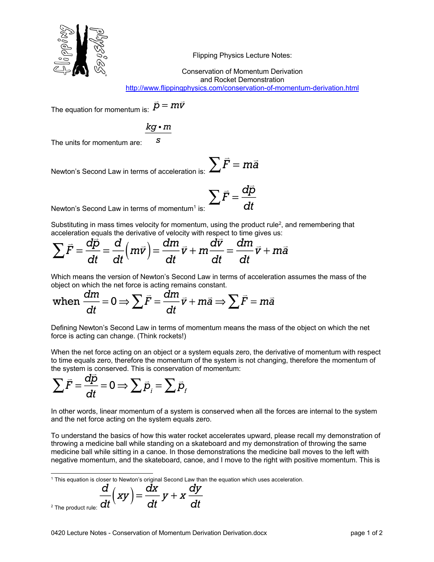

Flipping Physics Lecture Notes:

Conservation of Momentum Derivation and Rocket Demonstration

http://www.flippingphysics.com/conservation-of-momentum-derivation.html

The equation for momentum is:  $\vec{p} = m\vec{v}$ 

$$
\frac{kg \cdot m}{s}
$$

The units for momentum are:

 $\sum \vec{F} = m\vec{a}$ Newton's Second Law in terms of acceleration

$$
\sum_{\text{is:}} \sum \vec{F} = \frac{d\vec{p}}{dt}
$$

Newton's Second Law in terms of momentum<sup>1</sup> is:

Substituting in mass times velocity for momentum, using the product rule<sup>2</sup>, and remembering that acceleration equals the derivative of velocity with respect to time gives us:

$$
\sum \vec{F} = \frac{d\vec{p}}{dt} = \frac{d}{dt} \left( m\vec{v} \right) = \frac{dm}{dt} \vec{v} + m \frac{d\vec{v}}{dt} = \frac{dm}{dt} \vec{v} + m\vec{a}
$$

Which means the version of Newton's Second Law in terms of acceleration assumes the mass of the object on which the net force is acting remains constant.

when 
$$
\frac{dm}{dt} = 0 \Rightarrow \sum \vec{F} = \frac{dm}{dt}\vec{v} + m\vec{a} \Rightarrow \sum \vec{F} = m\vec{a}
$$

Defining Newton's Second Law in terms of momentum means the mass of the object on which the net force is acting can change. (Think rockets!)

When the net force acting on an object or a system equals zero, the derivative of momentum with respect to time equals zero, therefore the momentum of the system is not changing, therefore the momentum of the system is conserved. This is conservation of momentum:

$$
\sum \vec{F} = \frac{dp}{dt} = 0 \Rightarrow \sum \vec{p}_i = \sum \vec{p}_f
$$

In other words, linear momentum of a system is conserved when all the forces are internal to the system and the net force acting on the system equals zero.

To understand the basics of how this water rocket accelerates upward, please recall my demonstration of throwing a medicine ball while standing on a skateboard and my demonstration of throwing the same medicine ball while sitting in a canoe. In those demonstrations the medicine ball moves to the left with negative momentum, and the skateboard, canoe, and I move to the right with positive momentum. This is

 $1$  This equation is closer to Newton's original Second Law than the equation which uses acceleration.

$$
\frac{d}{dt}(xy) = \frac{dx}{dt}y + x\frac{dy}{dt}
$$

$$
^2
$$
 The product rule: